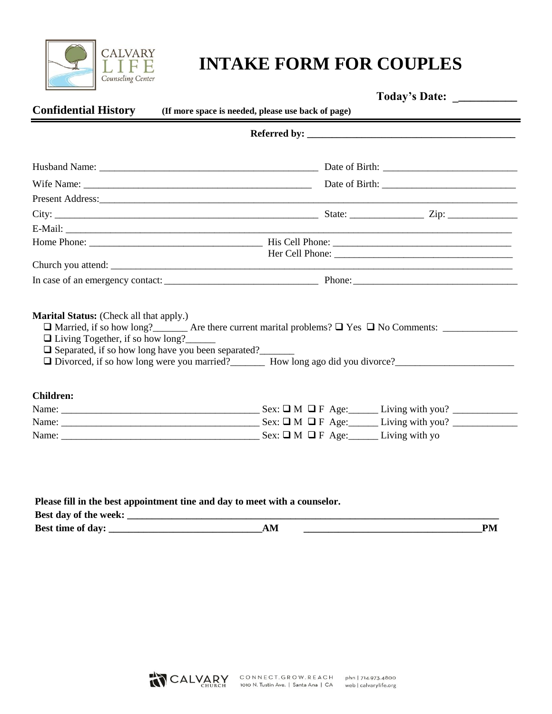

# **CALVARY LIFE INTAKE FORM FOR COUPLES**

| <b>Confidential History</b>                                                                                                                            | Today's Date: ____________<br>(If more space is needed, please use back of page)                  |
|--------------------------------------------------------------------------------------------------------------------------------------------------------|---------------------------------------------------------------------------------------------------|
|                                                                                                                                                        | Referred by:                                                                                      |
|                                                                                                                                                        |                                                                                                   |
|                                                                                                                                                        |                                                                                                   |
|                                                                                                                                                        |                                                                                                   |
|                                                                                                                                                        |                                                                                                   |
|                                                                                                                                                        |                                                                                                   |
|                                                                                                                                                        |                                                                                                   |
|                                                                                                                                                        |                                                                                                   |
|                                                                                                                                                        |                                                                                                   |
|                                                                                                                                                        |                                                                                                   |
| <b>Marital Status:</b> (Check all that apply.)<br>$\Box$ Living Together, if so how long?<br>$\Box$ Separated, if so how long have you been separated? | □ Divorced, if so how long were you married?<br><u> How long ago did you divorce?</u><br><u> </u> |
|                                                                                                                                                        |                                                                                                   |
|                                                                                                                                                        |                                                                                                   |
| <b>Children:</b>                                                                                                                                       |                                                                                                   |

| Please fill in the best appointment tine and day to meet with a counselor. |    |    |
|----------------------------------------------------------------------------|----|----|
| Best day of the week:                                                      |    |    |
| <b>Best time of day:</b>                                                   | AМ | PM |

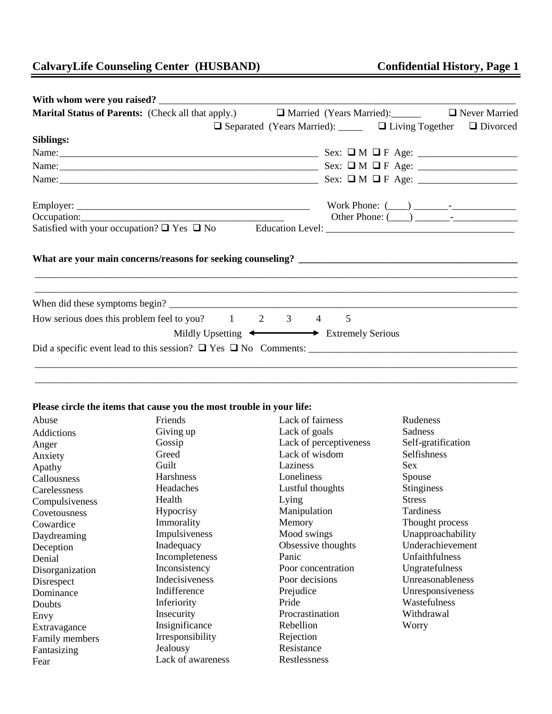## **CalvaryLife Counseling Center (HUSBAND) Confidential History, Page 1**

| <b>Marital Status of Parents:</b> (Check all that apply.)     |                                                                                 |   |  | □ Married (Years Married): □ Never Married |
|---------------------------------------------------------------|---------------------------------------------------------------------------------|---|--|--------------------------------------------|
|                                                               | $\Box$ Separated (Years Married): $\Box$ $\Box$ Living Together $\Box$ Divorced |   |  |                                            |
| Siblings:                                                     |                                                                                 |   |  |                                            |
|                                                               |                                                                                 |   |  |                                            |
|                                                               |                                                                                 |   |  |                                            |
|                                                               |                                                                                 |   |  |                                            |
|                                                               |                                                                                 |   |  |                                            |
| Occupation: $\qquad \qquad$                                   |                                                                                 |   |  |                                            |
|                                                               |                                                                                 |   |  |                                            |
|                                                               |                                                                                 |   |  |                                            |
| How serious does this problem feel to you? $1 \t 2 \t 3 \t 4$ |                                                                                 | 5 |  |                                            |
| Mildly Upsetting $\longleftrightarrow$ Extremely Serious      |                                                                                 |   |  |                                            |
|                                                               |                                                                                 |   |  |                                            |
|                                                               |                                                                                 |   |  |                                            |
|                                                               |                                                                                 |   |  |                                            |

#### **Please circle the items that cause you the most trouble in your life:**

| Abuse           | Friends           | Lack of fairness       | Rudeness           |
|-----------------|-------------------|------------------------|--------------------|
| Addictions      | Giving up         | Lack of goals          | Sadness            |
| Anger           | Gossip            | Lack of perceptiveness | Self-gratification |
| Anxiety         | Greed             | Lack of wisdom         | Selfishness        |
| Apathy          | Guilt             | Laziness               | Sex                |
| Callousness     | Harshness         | Loneliness             | Spouse             |
| Carelessness    | Headaches         | Lustful thoughts       | <b>Stinginess</b>  |
| Compulsiveness  | Health            | Lying                  | <b>Stress</b>      |
| Covetousness    | Hypocrisy         | Manipulation           | Tardiness          |
| Cowardice       | Immorality        | Memory                 | Thought process    |
| Daydreaming     | Impulsiveness     | Mood swings            | Unapproachability  |
| Deception       | Inadequacy        | Obsessive thoughts     | Underachievement   |
| Denial          | Incompleteness    | Panic                  | Unfaithfulness     |
| Disorganization | Inconsistency     | Poor concentration     | Ungratefulness     |
| Disrespect      | Indecisiveness    | Poor decisions         | Unreasonableness   |
| Dominance       | Indifference      | Prejudice              | Unresponsiveness   |
| Doubts          | Inferiority       | Pride                  | Wastefulness       |
| Envy            | Insecurity        | Procrastination        | Withdrawal         |
| Extravagance    | Insignificance    | Rebellion              | Worry              |
| Family members  | Irresponsibility  | Rejection              |                    |
| Fantasizing     | Jealousy          | Resistance             |                    |
| Fear            | Lack of awareness | Restlessness           |                    |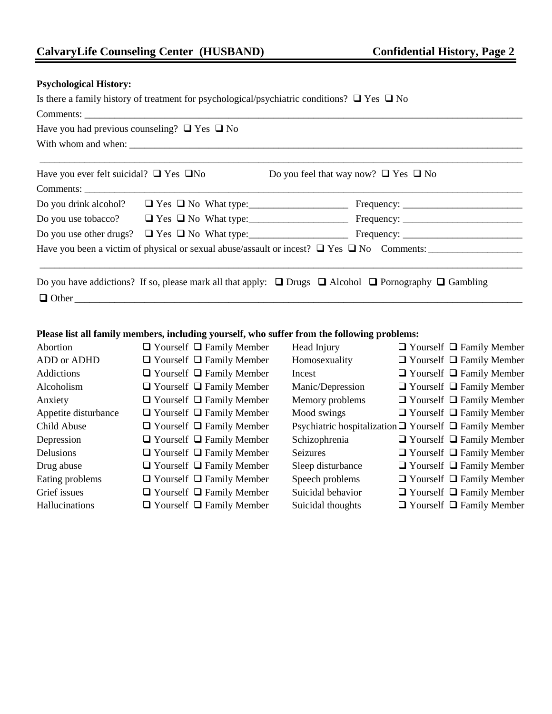#### **Psychological History:**

Is there a family history of treatment for psychological/psychiatric conditions?  $\Box$  Yes  $\Box$  No Comments:

| Have you had previous counseling? $\Box$ Yes $\Box$ No |                                                                                                      |
|--------------------------------------------------------|------------------------------------------------------------------------------------------------------|
| Have you ever felt suicidal? $\Box$ Yes $\Box$ No      | Do you feel that way now? $\Box$ Yes $\Box$ No                                                       |
|                                                        |                                                                                                      |
|                                                        |                                                                                                      |
|                                                        |                                                                                                      |
|                                                        |                                                                                                      |
|                                                        | Have you been a victim of physical or sexual abuse/assault or incest? $\Box$ Yes $\Box$ No Comments: |
|                                                        |                                                                                                      |
|                                                        |                                                                                                      |

Do you have addictions? If so, please mark all that apply:  $\Box$  Drugs  $\Box$  Alcohol  $\Box$  Pornography  $\Box$  Gambling  $\Box$  Other

#### **Please list all family members, including yourself, who suffer from the following problems:**

| Abortion             | $\Box$ Yourself $\Box$ Family Member | Head Injury       | $\Box$ Yourself $\Box$ Family Member                             |
|----------------------|--------------------------------------|-------------------|------------------------------------------------------------------|
| ADD or ADHD          | $\Box$ Yourself $\Box$ Family Member | Homosexuality     | $\Box$ Yourself $\Box$ Family Member                             |
| Addictions           | $\Box$ Yourself $\Box$ Family Member | Incest            | $\Box$ Yourself $\Box$ Family Member                             |
| Alcoholism           | $\Box$ Yourself $\Box$ Family Member | Manic/Depression  | $\Box$ Yourself $\Box$ Family Member                             |
| Anxiety              | $\Box$ Yourself $\Box$ Family Member | Memory problems   | $\Box$ Yourself $\Box$ Family Member                             |
| Appetite disturbance | $\Box$ Yourself $\Box$ Family Member | Mood swings       | $\Box$ Yourself $\Box$ Family Member                             |
| Child Abuse          | $\Box$ Yourself $\Box$ Family Member |                   | Psychiatric hospitalization $\Box$ Yourself $\Box$ Family Member |
| Depression           | $\Box$ Yourself $\Box$ Family Member | Schizophrenia     | $\Box$ Yourself $\Box$ Family Member                             |
| Delusions            | $\Box$ Yourself $\Box$ Family Member | <b>Seizures</b>   | $\Box$ Yourself $\Box$ Family Member                             |
| Drug abuse           | $\Box$ Yourself $\Box$ Family Member | Sleep disturbance | $\Box$ Yourself $\Box$ Family Member                             |
| Eating problems      | $\Box$ Yourself $\Box$ Family Member | Speech problems   | $\Box$ Yourself $\Box$ Family Member                             |
| Grief issues         | $\Box$ Yourself $\Box$ Family Member | Suicidal behavior | $\Box$ Yourself $\Box$ Family Member                             |
| Hallucinations       | $\Box$ Yourself $\Box$ Family Member | Suicidal thoughts | $\Box$ Yourself $\Box$ Family Member                             |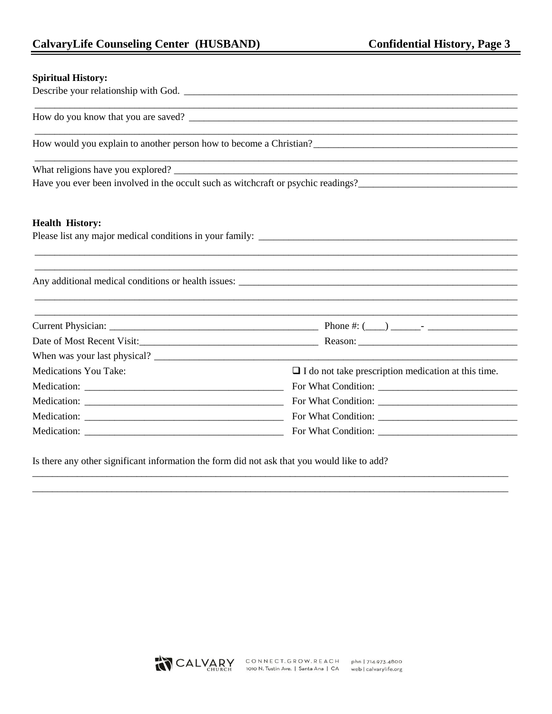### **CalvaryLife Counseling Center (HUSBAND)**

#### **Spiritual History:**

|                              | How do you know that you are saved?                                               |
|------------------------------|-----------------------------------------------------------------------------------|
|                              | How would you explain to another person how to become a Christian?                |
|                              |                                                                                   |
|                              | Have you ever been involved in the occult such as witchcraft or psychic readings? |
| <b>Health History:</b>       |                                                                                   |
|                              | Any additional medical conditions or health issues:                               |
|                              |                                                                                   |
|                              |                                                                                   |
|                              |                                                                                   |
| <b>Medications You Take:</b> | $\Box$ I do not take prescription medication at this time.                        |
|                              | For What Condition:                                                               |
|                              |                                                                                   |
|                              |                                                                                   |
|                              |                                                                                   |

Is there any other significant information the form did not ask that you would like to add?

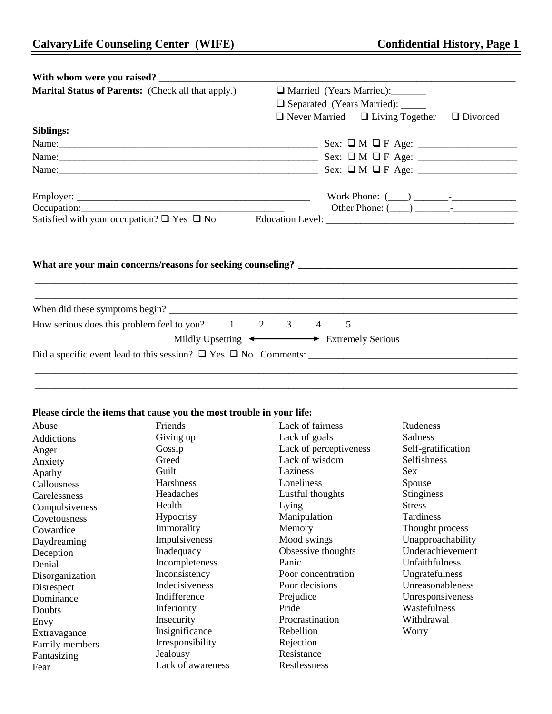| <b>Marital Status of Parents:</b> (Check all that apply.)     | Married (Years Married):                                                                         |  |  |  |
|---------------------------------------------------------------|--------------------------------------------------------------------------------------------------|--|--|--|
|                                                               | □ Separated (Years Married): _____                                                               |  |  |  |
|                                                               | $\Box$ Never Married $\Box$ Living Together $\Box$ Divorced                                      |  |  |  |
| Siblings:                                                     |                                                                                                  |  |  |  |
|                                                               |                                                                                                  |  |  |  |
|                                                               |                                                                                                  |  |  |  |
|                                                               |                                                                                                  |  |  |  |
|                                                               |                                                                                                  |  |  |  |
|                                                               |                                                                                                  |  |  |  |
|                                                               | Occupation: $\qquad \qquad$ Other Phone: $\qquad \qquad$ Other Phone: $\qquad \qquad$ $\qquad$ - |  |  |  |
|                                                               |                                                                                                  |  |  |  |
|                                                               |                                                                                                  |  |  |  |
| How serious does this problem feel to you? $1 \t 2 \t 3 \t 4$ | 5                                                                                                |  |  |  |
|                                                               | Mildly Upsetting $\leftarrow$ Extremely Serious                                                  |  |  |  |
|                                                               |                                                                                                  |  |  |  |
|                                                               |                                                                                                  |  |  |  |

\_\_\_\_\_\_\_\_\_\_\_\_\_\_\_\_\_\_\_\_\_\_\_\_\_\_\_\_\_\_\_\_\_\_\_\_\_\_\_\_\_\_\_\_\_\_\_\_\_\_\_\_\_\_\_\_\_\_\_\_\_\_\_\_\_\_\_\_\_\_\_\_\_\_\_\_\_\_\_\_\_\_\_\_\_\_\_\_\_\_\_\_\_\_\_\_\_

#### **Please circle the items that cause you the most trouble in your life:**

| Abuse           | Friends           | Lack of fairness       | Rudeness           |
|-----------------|-------------------|------------------------|--------------------|
| Addictions      | Giving up         | Lack of goals          | Sadness            |
| Anger           | Gossip            | Lack of perceptiveness | Self-gratification |
| Anxiety         | Greed             | Lack of wisdom         | Selfishness        |
| Apathy          | Guilt             | Laziness               | <b>Sex</b>         |
| Callousness     | Harshness         | Loneliness             | Spouse             |
| Carelessness    | Headaches         | Lustful thoughts       | <b>Stinginess</b>  |
| Compulsiveness  | Health            | Lying                  | <b>Stress</b>      |
| Covetousness    | Hypocrisy         | Manipulation           | Tardiness          |
| Cowardice       | Immorality        | Memory                 | Thought process    |
| Daydreaming     | Impulsiveness     | Mood swings            | Unapproachability  |
| Deception       | Inadequacy        | Obsessive thoughts     | Underachievement   |
| Denial          | Incompleteness    | Panic                  | Unfaithfulness     |
| Disorganization | Inconsistency     | Poor concentration     | Ungratefulness     |
| Disrespect      | Indecisiveness    | Poor decisions         | Unreasonableness   |
| Dominance       | Indifference      | Prejudice              | Unresponsiveness   |
| Doubts          | Inferiority       | Pride                  | Wastefulness       |
| Envy            | Insecurity        | Procrastination        | Withdrawal         |
| Extravagance    | Insignificance    | Rebellion              | Worry              |
| Family members  | Irresponsibility  | Rejection              |                    |
| Fantasizing     | Jealousy          | Resistance             |                    |
| Fear            | Lack of awareness | Restlessness           |                    |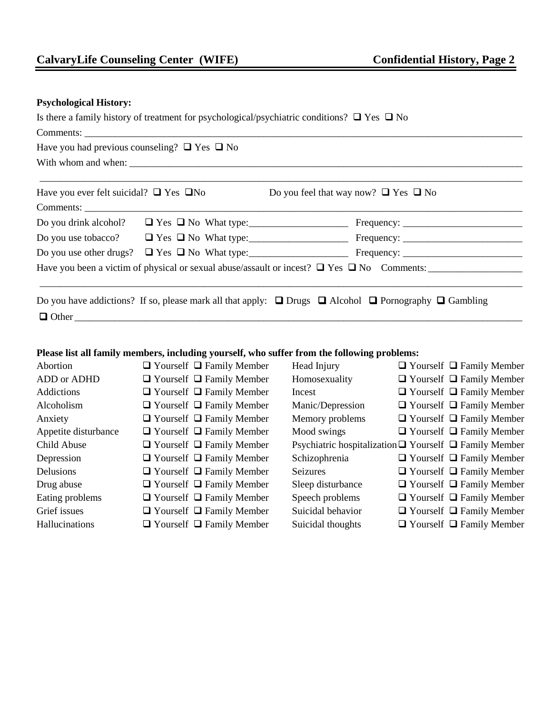#### **Psychological History:**

|                                                        |                                                   | Is there a family history of treatment for psychological/psychiatric conditions? $\Box$ Yes $\Box$ No                     |  |  |  |  |
|--------------------------------------------------------|---------------------------------------------------|---------------------------------------------------------------------------------------------------------------------------|--|--|--|--|
|                                                        |                                                   |                                                                                                                           |  |  |  |  |
| Have you had previous counseling? $\Box$ Yes $\Box$ No |                                                   |                                                                                                                           |  |  |  |  |
|                                                        |                                                   |                                                                                                                           |  |  |  |  |
|                                                        |                                                   |                                                                                                                           |  |  |  |  |
|                                                        | Have you ever felt suicidal? $\Box$ Yes $\Box$ No | Do you feel that way now? $\Box$ Yes $\Box$ No                                                                            |  |  |  |  |
|                                                        | Comments:                                         |                                                                                                                           |  |  |  |  |
|                                                        |                                                   |                                                                                                                           |  |  |  |  |
|                                                        |                                                   |                                                                                                                           |  |  |  |  |
|                                                        |                                                   |                                                                                                                           |  |  |  |  |
|                                                        |                                                   | Have you been a victim of physical or sexual abuse/assault or incest? $\Box$ Yes $\Box$ No Comments:                      |  |  |  |  |
|                                                        |                                                   |                                                                                                                           |  |  |  |  |
|                                                        |                                                   | Do you have addictions? If so, please mark all that apply: $\Box$ Drugs $\Box$ Alcohol $\Box$ Pornography $\Box$ Gambling |  |  |  |  |
|                                                        |                                                   |                                                                                                                           |  |  |  |  |

#### **Please list all family members, including yourself, who suffer from the following problems:**

| Abortion             | $\Box$ Yourself $\Box$ Family Member | Head Injury       | $\Box$ Yourself $\Box$ Family Member                             |
|----------------------|--------------------------------------|-------------------|------------------------------------------------------------------|
| ADD or ADHD          | $\Box$ Yourself $\Box$ Family Member | Homosexuality     | $\Box$ Yourself $\Box$ Family Member                             |
| Addictions           | $\Box$ Yourself $\Box$ Family Member | Incest            | $\Box$ Yourself $\Box$ Family Member                             |
| Alcoholism           | $\Box$ Yourself $\Box$ Family Member | Manic/Depression  | $\Box$ Yourself $\Box$ Family Member                             |
| Anxiety              | $\Box$ Yourself $\Box$ Family Member | Memory problems   | $\Box$ Yourself $\Box$ Family Member                             |
| Appetite disturbance | $\Box$ Yourself $\Box$ Family Member | Mood swings       | $\Box$ Yourself $\Box$ Family Member                             |
| Child Abuse          | $\Box$ Yourself $\Box$ Family Member |                   | Psychiatric hospitalization $\Box$ Yourself $\Box$ Family Member |
| Depression           | $\Box$ Yourself $\Box$ Family Member | Schizophrenia     | $\Box$ Yourself $\Box$ Family Member                             |
| Delusions            | $\Box$ Yourself $\Box$ Family Member | <b>Seizures</b>   | $\Box$ Yourself $\Box$ Family Member                             |
| Drug abuse           | $\Box$ Yourself $\Box$ Family Member | Sleep disturbance | $\Box$ Yourself $\Box$ Family Member                             |
| Eating problems      | $\Box$ Yourself $\Box$ Family Member | Speech problems   | $\Box$ Yourself $\Box$ Family Member                             |
| Grief issues         | $\Box$ Yourself $\Box$ Family Member | Suicidal behavior | $\Box$ Yourself $\Box$ Family Member                             |
| Hallucinations       | $\Box$ Yourself $\Box$ Family Member | Suicidal thoughts | $\Box$ Yourself $\Box$ Family Member                             |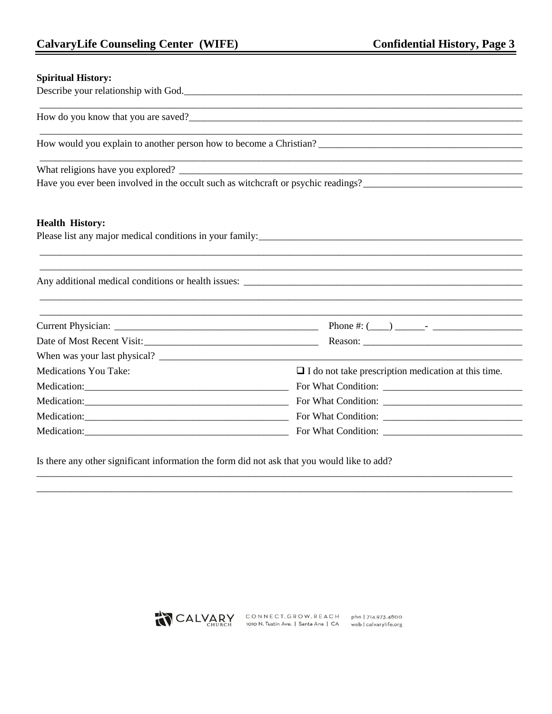<u> 1989 - Johann Barn, amerikan bernama di sebagai bernama di sebagai bernama di sebagai bernama di sebagai bern</u>

#### **Spiritual History:**

Describe your relationship with God.

How would you explain to another person how to become a Christian?

What religions have you explored? \_

#### **Health History:**

| Please list any major medical conditions in your family: |  |
|----------------------------------------------------------|--|
|                                                          |  |

| Date of Most Recent Visit:   |                                                            |  |
|------------------------------|------------------------------------------------------------|--|
| When was your last physical? |                                                            |  |
| <b>Medications You Take:</b> | $\Box$ I do not take prescription medication at this time. |  |
|                              |                                                            |  |
|                              |                                                            |  |
|                              |                                                            |  |
|                              | Medication: For What Condition:                            |  |

Is there any other significant information the form did not ask that you would like to add?

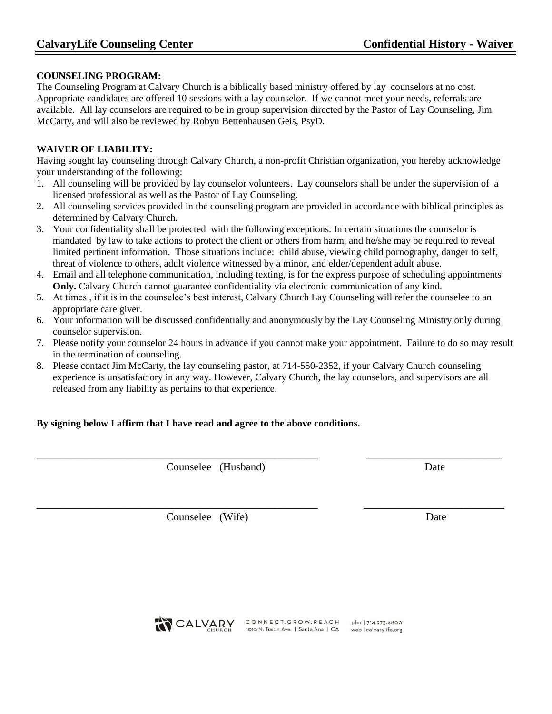#### **COUNSELING PROGRAM:**

The Counseling Program at Calvary Church is a biblically based ministry offered by lay counselors at no cost. Appropriate candidates are offered 10 sessions with a lay counselor. If we cannot meet your needs, referrals are available. All lay counselors are required to be in group supervision directed by the Pastor of Lay Counseling, Jim McCarty, and will also be reviewed by Robyn Bettenhausen Geis, PsyD.

#### **WAIVER OF LIABILITY:**

Having sought lay counseling through Calvary Church, a non-profit Christian organization, you hereby acknowledge your understanding of the following:

- 1. All counseling will be provided by lay counselor volunteers. Lay counselors shall be under the supervision of a licensed professional as well as the Pastor of Lay Counseling.
- 2. All counseling services provided in the counseling program are provided in accordance with biblical principles as determined by Calvary Church.
- 3. Your confidentiality shall be protected with the following exceptions. In certain situations the counselor is mandated by law to take actions to protect the client or others from harm, and he/she may be required to reveal limited pertinent information. Those situations include: child abuse, viewing child pornography, danger to self, threat of violence to others, adult violence witnessed by a minor, and elder/dependent adult abuse.
- 4. Email and all telephone communication, including texting, is for the express purpose of scheduling appointments **Only.** Calvary Church cannot guarantee confidentiality via electronic communication of any kind.
- 5. At times , if it is in the counselee's best interest, Calvary Church Lay Counseling will refer the counselee to an appropriate care giver.
- 6. Your information will be discussed confidentially and anonymously by the Lay Counseling Ministry only during counselor supervision.
- 7. Please notify your counselor 24 hours in advance if you cannot make your appointment. Failure to do so may result in the termination of counseling.
- 8. Please contact Jim McCarty, the lay counseling pastor, at 714-550-2352, if your Calvary Church counseling experience is unsatisfactory in any way. However, Calvary Church, the lay counselors, and supervisors are all released from any liability as pertains to that experience.

\_\_\_\_\_\_\_\_\_\_\_\_\_\_\_\_\_\_\_\_\_\_\_\_\_\_\_\_\_\_\_\_\_\_\_\_\_\_\_\_\_\_\_\_\_\_\_\_\_\_\_\_ \_\_\_\_\_\_\_\_\_\_\_\_\_\_\_\_\_\_\_\_\_\_\_\_\_

\_\_\_\_\_\_\_\_\_\_\_\_\_\_\_\_\_\_\_\_\_\_\_\_\_\_\_\_\_\_\_\_\_\_\_\_\_\_\_\_\_\_\_\_\_\_\_\_\_\_\_\_ \_\_\_\_\_\_\_\_\_\_\_\_\_\_\_\_\_\_\_\_\_\_\_\_\_\_

#### **By signing below I affirm that I have read and agree to the above conditions.**

Counselee (Husband) Date

Counselee (Wife) Date